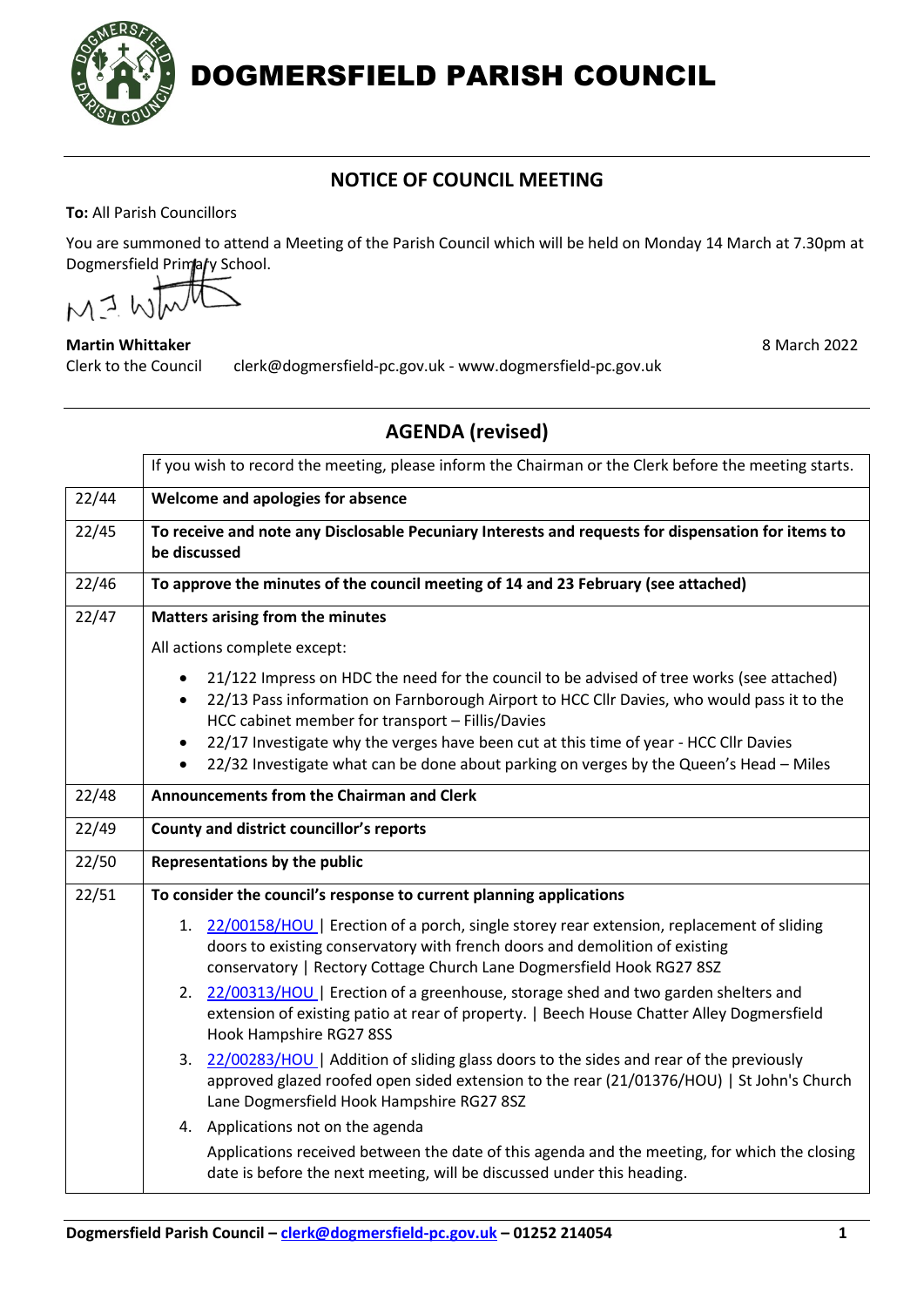

DOGMERSFIELD PARISH COUNCIL

## **NOTICE OF COUNCIL MEETING**

**To:** All Parish Councillors

You are summoned to attend a Meeting of the Parish Council which will be held on Monday 14 March at 7.30pm at Dogmersfield Primary School.

 $MJ$  W

## **Martin Whittaker** 8 March 2022

Clerk to the Council clerk@dogmersfield-pc.gov.uk - www.dogmersfield-pc.gov.uk

## **AGENDA (revised)**

|       | If you wish to record the meeting, please inform the Chairman or the Clerk before the meeting starts.                                                                                                                                                    |
|-------|----------------------------------------------------------------------------------------------------------------------------------------------------------------------------------------------------------------------------------------------------------|
| 22/44 | Welcome and apologies for absence                                                                                                                                                                                                                        |
| 22/45 | To receive and note any Disclosable Pecuniary Interests and requests for dispensation for items to<br>be discussed                                                                                                                                       |
| 22/46 | To approve the minutes of the council meeting of 14 and 23 February (see attached)                                                                                                                                                                       |
| 22/47 | Matters arising from the minutes                                                                                                                                                                                                                         |
|       | All actions complete except:                                                                                                                                                                                                                             |
|       | 21/122 Impress on HDC the need for the council to be advised of tree works (see attached)<br>22/13 Pass information on Farnborough Airport to HCC Cllr Davies, who would pass it to the<br>$\bullet$<br>HCC cabinet member for transport - Fillis/Davies |
|       | 22/17 Investigate why the verges have been cut at this time of year - HCC Cllr Davies<br>$\bullet$<br>22/32 Investigate what can be done about parking on verges by the Queen's Head - Miles                                                             |
| 22/48 | <b>Announcements from the Chairman and Clerk</b>                                                                                                                                                                                                         |
| 22/49 | <b>County and district councillor's reports</b>                                                                                                                                                                                                          |
| 22/50 | Representations by the public                                                                                                                                                                                                                            |
| 22/51 | To consider the council's response to current planning applications                                                                                                                                                                                      |
|       | 1. 22/00158/HOU   Erection of a porch, single storey rear extension, replacement of sliding<br>doors to existing conservatory with french doors and demolition of existing<br>conservatory   Rectory Cottage Church Lane Dogmersfield Hook RG27 8SZ      |
|       | 2. 22/00313/HOU   Erection of a greenhouse, storage shed and two garden shelters and<br>extension of existing patio at rear of property.   Beech House Chatter Alley Dogmersfield<br>Hook Hampshire RG27 8SS                                             |
|       | 3. 22/00283/HOU   Addition of sliding glass doors to the sides and rear of the previously<br>approved glazed roofed open sided extension to the rear (21/01376/HOU)   St John's Church<br>Lane Dogmersfield Hook Hampshire RG27 8SZ                      |
|       | 4. Applications not on the agenda<br>Applications received between the date of this agenda and the meeting, for which the closing<br>date is before the next meeting, will be discussed under this heading.                                              |